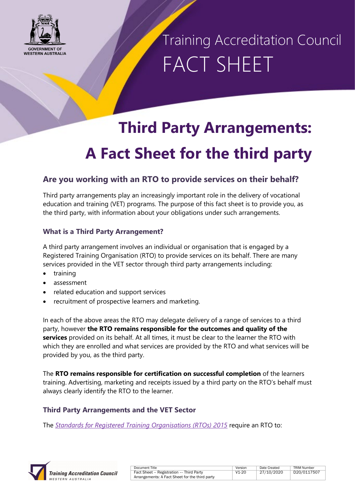

Training Accreditation Council FACT SHEET

### **Third Party Arrangements: A Fact Sheet for the third party**

### **Are you working with an RTO to provide services on their behalf?**

Third party arrangements play an increasingly important role in the delivery of vocational education and training (VET) programs. The purpose of this fact sheet is to provide you, as the third party, with information about your obligations under such arrangements.

#### **What is a Third Party Arrangement?**

A third party arrangement involves an individual or organisation that is engaged by a Registered Training Organisation (RTO) to provide services on its behalf. There are many services provided in the VET sector through third party arrangements including:

- training
- assessment
- related education and support services
- recruitment of prospective learners and marketing.

In each of the above areas the RTO may delegate delivery of a range of services to a third party, however **the RTO remains responsible for the outcomes and quality of the services** provided on its behalf. At all times, it must be clear to the learner the RTO with which they are enrolled and what services are provided by the RTO and what services will be provided by you, as the third party.

The **RTO remains responsible for certification on successful completion** of the learners training. Advertising, marketing and receipts issued by a third party on the RTO's behalf must always clearly identify the RTO to the learner.

#### **Third Party Arrangements and the VET Sector**

The *[Standards for Registered Training Organisations \(RTOs\) 2015](https://www.legislation.gov.au/Details/F2019C00503)* require an RTO to:



| Document Title                                 | Version | Date Created | <b>TRIM Number</b> |
|------------------------------------------------|---------|--------------|--------------------|
| Fact Sheet - Registration -- Third Party       | V1-20   | 27/10/2020   | D20/0117507        |
| Arrangements: A Fact Sheet for the third party |         |              |                    |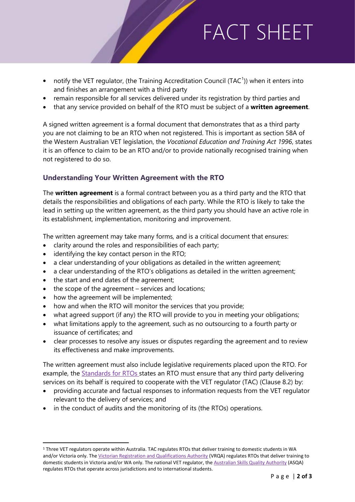# FACT SHEET

- notify the VET regulator, (the Training Accreditation Council (TAC<sup>[1](#page-1-0)</sup>)) when it enters into and finishes an arrangement with a third party
- remain responsible for all services delivered under its registration by third parties and
- that any service provided on behalf of the RTO must be subject of a **written agreement**.

A signed written agreement is a formal document that demonstrates that as a third party you are not claiming to be an RTO when not registered. This is important as section 58A of the Western Australian VET legislation, the *Vocational Education and Training Act 1996*, states it is an offence to claim to be an RTO and/or to provide nationally recognised training when not registered to do so.

#### **Understanding Your Written Agreement with the RTO**

The **written agreement** is a formal contract between you as a third party and the RTO that details the responsibilities and obligations of each party. While the RTO is likely to take the lead in setting up the written agreement, as the third party you should have an active role in its establishment, implementation, monitoring and improvement.

The written agreement may take many forms, and is a critical document that ensures:

- clarity around the roles and responsibilities of each party;
- identifying the key contact person in the RTO;
- a clear understanding of your obligations as detailed in the written agreement;
- a clear understanding of the RTO's obligations as detailed in the written agreement;
- the start and end dates of the agreement;
- the scope of the agreement services and locations;
- how the agreement will be implemented;
- how and when the RTO will monitor the services that you provide;
- what agreed support (if any) the RTO will provide to you in meeting your obligations;
- what limitations apply to the agreement, such as no outsourcing to a fourth party or issuance of certificates; and
- clear processes to resolve any issues or disputes regarding the agreement and to review its effectiveness and make improvements.

The written agreement must also include legislative requirements placed upon the RTO. For example, the [Standards for RTOs](https://www.legislation.gov.au/Details/F2019C00503) states an RTO must ensure that any third party delivering services on its behalf is required to cooperate with the VET regulator (TAC) (Clause 8.2) by:

- providing accurate and factual responses to information requests from the VET regulator relevant to the delivery of services; and
- in the conduct of audits and the monitoring of its (the RTOs) operations.

<span id="page-1-0"></span> <sup>1</sup> Three VET regulators operate within Australia. TAC regulates RTOs that deliver training to domestic students in WA and/or Victoria only. The [Victorian Registration and Qualifications Authority](https://www.vrqa.vic.gov.au/Pages/default.aspx) (VRQA) regulates RTOs that deliver training to domestic students in Victoria and/or WA only. The national VET regulator, th[e Australian Skills Quality Authority](https://www.asqa.gov.au/) (ASQA) regulates RTOs that operate across jurisdictions and to international students.